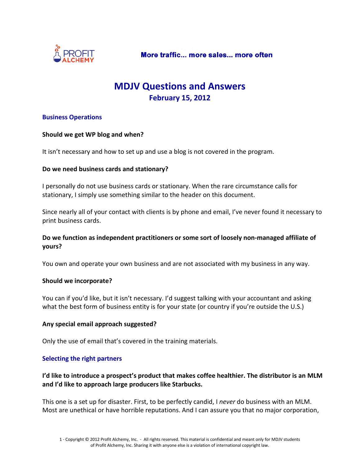

# **MDJV Questions and Answers February 15, 2012**

### **Business Operations**

#### **Should we get WP blog and when?**

It isn't necessary and how to set up and use a blog is not covered in the program.

#### **Do we need business cards and stationary?**

I personally do not use business cards or stationary. When the rare circumstance calls for stationary, I simply use something similar to the header on this document.

Since nearly all of your contact with clients is by phone and email, I've never found it necessary to print business cards.

### **Do we function as independent practitioners or some sort of loosely non-managed affiliate of yours?**

You own and operate your own business and are not associated with my business in any way.

#### **Should we incorporate?**

You can if you'd like, but it isn't necessary. I'd suggest talking with your accountant and asking what the best form of business entity is for your state (or country if you're outside the U.S.)

#### **Any special email approach suggested?**

Only the use of email that's covered in the training materials.

### **Selecting the right partners**

**I'd like to introduce a prospect's product that makes coffee healthier. The distributor is an MLM and I'd like to approach large producers like Starbucks.**

This one is a set up for disaster. First, to be perfectly candid, I *never* do business with an MLM. Most are unethical or have horrible reputations. And I can assure you that no major corporation,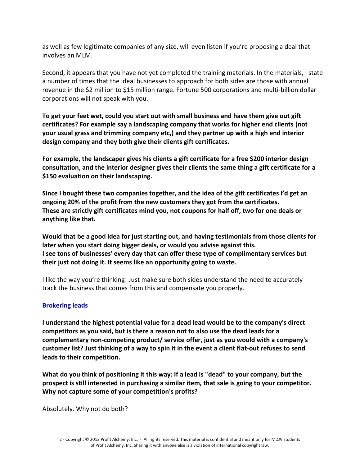as well as few legitimate companies of any size, will even listen if you're proposing a deal that involves an MLM.

Second, it appears that you have not yet completed the training materials. In the materials, I state a number of times that the ideal businesses to approach for both sides are those with annual revenue in the \$2 million to \$15 million range. Fortune 500 corporations and multi-billion dollar corporations will not speak with you.

**To get your feet wet, could you start out with small business and have them give out gift certificates? For example say a landscaping company that works for higher end clients (not your usual grass and trimming company etc,) and they partner up with a high end interior design company and they both give their clients gift certificates.**

**For example, the landscaper gives his clients a gift certificate for a free \$200 interior design consultation, and the interior designer gives their clients the same thing a gift certificate for a \$150 evaluation on their landscaping.**

**Since I bought these two companies together, and the idea of the gift certificates I'd get an ongoing 20% of the profit from the new customers they got from the certificates. These are strictly gift certificates mind you, not coupons for half off, two for one deals or anything like that.**

**Would that be a good idea for just starting out, and having testimonials from those clients for later when you start doing bigger deals, or would you advise against this. I see tons of businesses' every day that can offer these type of complimentary services but their just not doing it. It seems like an opportunity going to waste.** 

I like the way you're thinking! Just make sure both sides understand the need to accurately track the business that comes from this and compensate you properly.

## **Brokering leads**

**I understand the highest potential value for a dead lead would be to the company's direct competitors as you said, but is there a reason not to also use the dead leads for a complementary non-competing product/ service offer, just as you would with a company's customer list? Just thinking of a way to spin it in the event a client flat-out refuses to send leads to their competition.** 

**What do you think of positioning it this way: If a lead is "dead" to your company, but the prospect is still interested in purchasing a similar item, that sale is going to your competitor. Why not capture some of your competition's profits?**

Absolutely. Why not do both?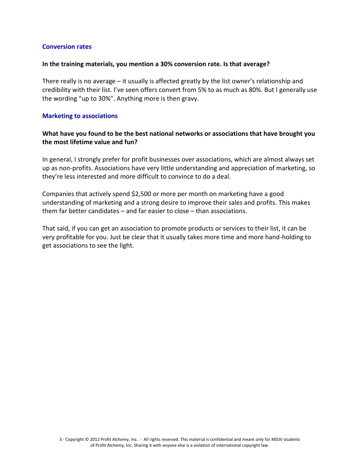#### **Conversion rates**

#### **In the training materials, you mention a 30% conversion rate. Is that average?**

There really is no average – it usually is affected greatly by the list owner's relationship and credibility with their list. I've seen offers convert from 5% to as much as 80%. But I generally use the wording "up to 30%". Anything more is then gravy.

#### **Marketing to associations**

## **What have you found to be the best national networks or associations that have brought you the most lifetime value and fun?**

In general, I strongly prefer for profit businesses over associations, which are almost always set up as non-profits. Associations have very little understanding and appreciation of marketing, so they're less interested and more difficult to convince to do a deal.

Companies that actively spend \$2,500 or more per month on marketing have a good understanding of marketing and a strong desire to improve their sales and profits. This makes them far better candidates – and far easier to close – than associations.

That said, if you can get an association to promote products or services to their list, it can be very profitable for you. Just be clear that it usually takes more time and more hand-holding to get associations to see the light.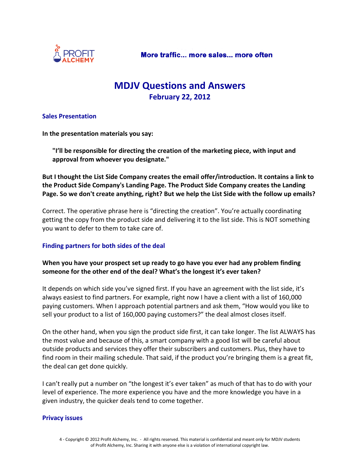

# **MDJV Questions and Answers February 22, 2012**

#### **Sales Presentation**

**In the presentation materials you say:**

**"I'll be responsible for directing the creation of the marketing piece, with input and approval from whoever you designate."**

**But I thought the List Side Company creates the email offer/introduction. It contains a link to the Product Side Company's Landing Page. The Product Side Company creates the Landing Page. So we don't create anything, right? But we help the List Side with the follow up emails?**

Correct. The operative phrase here is "directing the creation". You're actually coordinating getting the copy from the product side and delivering it to the list side. This is NOT something you want to defer to them to take care of.

### **Finding partners for both sides of the deal**

### **When you have your prospect set up ready to go have you ever had any problem finding someone for the other end of the deal? What's the longest it's ever taken?**

It depends on which side you've signed first. If you have an agreement with the list side, it's always easiest to find partners. For example, right now I have a client with a list of 160,000 paying customers. When I approach potential partners and ask them, "How would you like to sell your product to a list of 160,000 paying customers?" the deal almost closes itself.

On the other hand, when you sign the product side first, it can take longer. The list ALWAYS has the most value and because of this, a smart company with a good list will be careful about outside products and services they offer their subscribers and customers. Plus, they have to find room in their mailing schedule. That said, if the product you're bringing them is a great fit, the deal can get done quickly.

I can't really put a number on "the longest it's ever taken" as much of that has to do with your level of experience. The more experience you have and the more knowledge you have in a given industry, the quicker deals tend to come together.

#### **Privacy issues**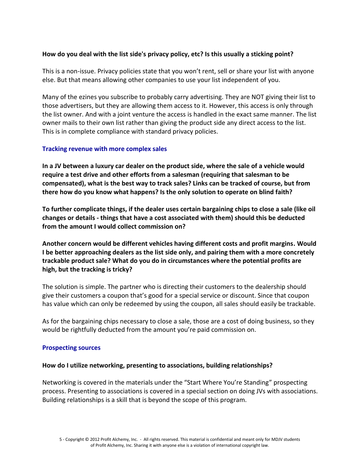### **How do you deal with the list side's privacy policy, etc? Is this usually a sticking point?**

This is a non-issue. Privacy policies state that you won't rent, sell or share your list with anyone else. But that means allowing other companies to use your list independent of you.

Many of the ezines you subscribe to probably carry advertising. They are NOT giving their list to those advertisers, but they are allowing them access to it. However, this access is only through the list owner. And with a joint venture the access is handled in the exact same manner. The list owner mails to their own list rather than giving the product side any direct access to the list. This is in complete compliance with standard privacy policies.

### **Tracking revenue with more complex sales**

**In a JV between a luxury car dealer on the product side, where the sale of a vehicle would require a test drive and other efforts from a salesman (requiring that salesman to be compensated), what is the best way to track sales? Links can be tracked of course, but from there how do you know what happens? Is the only solution to operate on blind faith?**

**To further complicate things, if the dealer uses certain bargaining chips to close a sale (like oil changes or details - things that have a cost associated with them) should this be deducted from the amount I would collect commission on?**

**Another concern would be different vehicles having different costs and profit margins. Would I be better approaching dealers as the list side only, and pairing them with a more concretely trackable product sale? What do you do in circumstances where the potential profits are high, but the tracking is tricky?**

The solution is simple. The partner who is directing their customers to the dealership should give their customers a coupon that's good for a special service or discount. Since that coupon has value which can only be redeemed by using the coupon, all sales should easily be trackable.

As for the bargaining chips necessary to close a sale, those are a cost of doing business, so they would be rightfully deducted from the amount you're paid commission on.

#### **Prospecting sources**

#### **How do I utilize networking, presenting to associations, building relationships?**

Networking is covered in the materials under the "Start Where You're Standing" prospecting process. Presenting to associations is covered in a special section on doing JVs with associations. Building relationships is a skill that is beyond the scope of this program.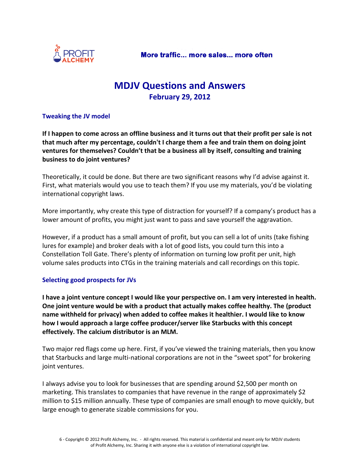

# **MDJV Questions and Answers February 29, 2012**

### **Tweaking the JV model**

**If I happen to come across an offline business and it turns out that their profit per sale is not that much after my percentage, couldn't I charge them a fee and train them on doing joint ventures for themselves? Couldn't that be a business all by itself, consulting and training business to do joint ventures?** 

Theoretically, it could be done. But there are two significant reasons why I'd advise against it. First, what materials would you use to teach them? If you use my materials, you'd be violating international copyright laws.

More importantly, why create this type of distraction for yourself? If a company's product has a lower amount of profits, you might just want to pass and save yourself the aggravation.

However, if a product has a small amount of profit, but you can sell a lot of units (take fishing lures for example) and broker deals with a lot of good lists, you could turn this into a Constellation Toll Gate. There's plenty of information on turning low profit per unit, high volume sales products into CTGs in the training materials and call recordings on this topic.

### **Selecting good prospects for JVs**

**I have a joint venture concept I would like your perspective on. I am very interested in health. One joint venture would be with a product that actually makes coffee healthy. The (product name withheld for privacy) when added to coffee makes it healthier. I would like to know how I would approach a large coffee producer/server like Starbucks with this concept effectively. The calcium distributor is an MLM.**

Two major red flags come up here. First, if you've viewed the training materials, then you know that Starbucks and large multi-national corporations are not in the "sweet spot" for brokering joint ventures.

I always advise you to look for businesses that are spending around \$2,500 per month on marketing. This translates to companies that have revenue in the range of approximately \$2 million to \$15 million annually. These type of companies are small enough to move quickly, but large enough to generate sizable commissions for you.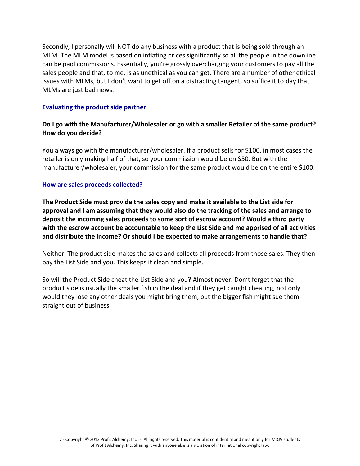Secondly, I personally will NOT do any business with a product that is being sold through an MLM. The MLM model is based on inflating prices significantly so all the people in the downline can be paid commissions. Essentially, you're grossly overcharging your customers to pay all the sales people and that, to me, is as unethical as you can get. There are a number of other ethical issues with MLMs, but I don't want to get off on a distracting tangent, so suffice it to day that MLMs are just bad news.

#### **Evaluating the product side partner**

## **Do I go with the Manufacturer/Wholesaler or go with a smaller Retailer of the same product? How do you decide?**

You always go with the manufacturer/wholesaler. If a product sells for \$100, in most cases the retailer is only making half of that, so your commission would be on \$50. But with the manufacturer/wholesaler, your commission for the same product would be on the entire \$100.

#### **How are sales proceeds collected?**

**The Product Side must provide the sales copy and make it available to the List side for approval and I am assuming that they would also do the tracking of the sales and arrange to deposit the incoming sales proceeds to some sort of escrow account? Would a third party with the escrow account be accountable to keep the List Side and me apprised of all activities and distribute the income? Or should I be expected to make arrangements to handle that?** 

Neither. The product side makes the sales and collects all proceeds from those sales. They then pay the List Side and you. This keeps it clean and simple.

So will the Product Side cheat the List Side and you? Almost never. Don't forget that the product side is usually the smaller fish in the deal and if they get caught cheating, not only would they lose any other deals you might bring them, but the bigger fish might sue them straight out of business.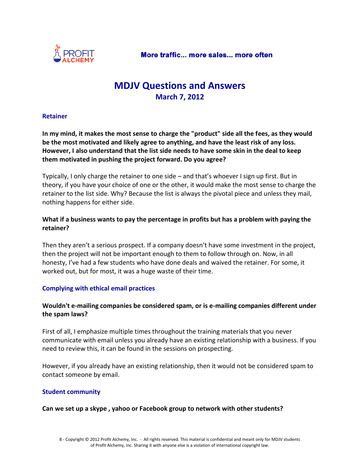

# **MDJV Questions and Answers March 7, 2012**

#### **Retainer**

**In my mind, it makes the most sense to charge the "product" side all the fees, as they would be the most motivated and likely agree to anything, and have the least risk of any loss. However, I also understand that the list side needs to have some skin in the deal to keep them motivated in pushing the project forward. Do you agree?**

Typically, I only charge the retainer to one side – and that's whoever I sign up first. But in theory, if you have your choice of one or the other, it would make the most sense to charge the retainer to the list side. Why? Because the list is always the pivotal piece and unless they mail, nothing happens for either side.

## **What if a business wants to pay the percentage in profits but has a problem with paying the retainer?**

Then they aren't a serious prospect. If a company doesn't have some investment in the project, then the project will not be important enough to them to follow through on. Now, in all honesty, I've had a few students who have done deals and waived the retainer. For some, it worked out, but for most, it was a huge waste of their time.

### **Complying with ethical email practices**

## **Wouldn't e-mailing companies be considered spam, or is e-mailing companies different under the spam laws?**

First of all, I emphasize multiple times throughout the training materials that you never communicate with email unless you already have an existing relationship with a business. If you need to review this, it can be found in the sessions on prospecting.

However, if you already have an existing relationship, then it would not be considered spam to contact someone by email.

### **Student community**

### **Can we set up a skype , yahoo or Facebook group to network with other students?**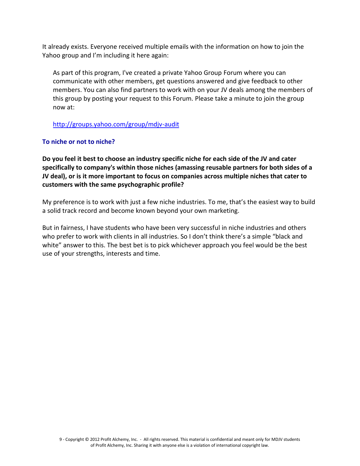It already exists. Everyone received multiple emails with the information on how to join the Yahoo group and I'm including it here again:

As part of this program, I've created a private Yahoo Group Forum where you can communicate with other members, get questions answered and give feedback to other members. You can also find partners to work with on your JV deals among the members of this group by posting your request to this Forum. Please take a minute to join the group now at:

## <http://groups.yahoo.com/group/mdjv-audit>

### **To niche or not to niche?**

**Do you feel it best to choose an industry specific niche for each side of the JV and cater specifically to company's within those niches (amassing reusable partners for both sides of a JV deal), or is it more important to focus on companies across multiple niches that cater to customers with the same psychographic profile?**

My preference is to work with just a few niche industries. To me, that's the easiest way to build a solid track record and become known beyond your own marketing.

But in fairness, I have students who have been very successful in niche industries and others who prefer to work with clients in all industries. So I don't think there's a simple "black and white" answer to this. The best bet is to pick whichever approach you feel would be the best use of your strengths, interests and time.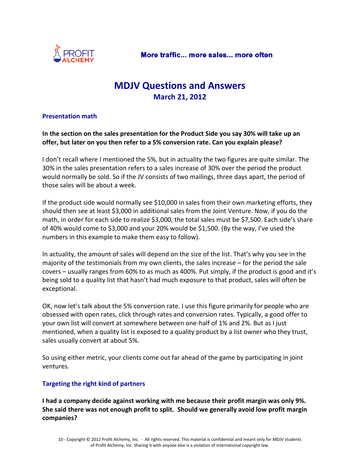

# **MDJV Questions and Answers March 21, 2012**

### **Presentation math**

**In the section on the sales presentation for the Product Side you say 30% will take up an offer, but later on you then refer to a 5% conversion rate. Can you explain please?**

I don't recall where I mentioned the 5%, but in actuality the two figures are quite similar. The 30% in the sales presentation refers to a sales increase of 30% over the period the product would normally be sold. So if the JV consists of two mailings, three days apart, the period of those sales will be about a week.

If the product side would normally see \$10,000 in sales from their own marketing efforts, they should then see at least \$3,000 in additional sales from the Joint Venture. Now, if you do the math, in order for each side to realize \$3,000, the total sales must be \$7,500. Each side's share of 40% would come to \$3,000 and your 20% would be \$1,500. (By the way, I've used the numbers in this example to make them easy to follow).

In actuality, the amount of sales will depend on the size of the list. That's why you see in the majority of the testimonials from my own clients, the sales increase – for the period the sale covers – usually ranges from 60% to as much as 400%. Put simply, if the product is good and it's being sold to a quality list that hasn't had much exposure to that product, sales will often be exceptional.

OK, now let's talk about the 5% conversion rate. I use this figure primarily for people who are obsessed with open rates, click through rates and conversion rates. Typically, a good offer to your own list will convert at somewhere between one-half of 1% and 2%. But as I just mentioned, when a quality list is exposed to a quality product by a list owner who they trust, sales usually convert at about 5%.

So using either metric, your clients come out far ahead of the game by participating in joint ventures.

## **Targeting the right kind of partners**

**I had a company decide against working with me because their profit margin was only 9%. She said there was not enough profit to split. Should we generally avoid low profit margin companies?**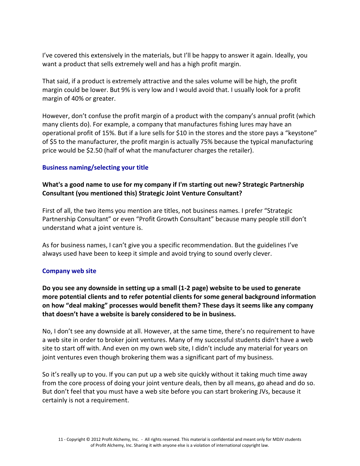I've covered this extensively in the materials, but I'll be happy to answer it again. Ideally, you want a product that sells extremely well and has a high profit margin.

That said, if a product is extremely attractive and the sales volume will be high, the profit margin could be lower. But 9% is very low and I would avoid that. I usually look for a profit margin of 40% or greater.

However, don't confuse the profit margin of a product with the company's annual profit (which many clients do). For example, a company that manufactures fishing lures may have an operational profit of 15%. But if a lure sells for \$10 in the stores and the store pays a "keystone" of \$5 to the manufacturer, the profit margin is actually 75% because the typical manufacturing price would be \$2.50 (half of what the manufacturer charges the retailer).

### **Business naming/selecting your title**

### **What's a good name to use for my company if I'm starting out new? Strategic Partnership Consultant (you mentioned this) Strategic Joint Venture Consultant?**

First of all, the two items you mention are titles, not business names. I prefer "Strategic Partnership Consultant" or even "Profit Growth Consultant" because many people still don't understand what a joint venture is.

As for business names, I can't give you a specific recommendation. But the guidelines I've always used have been to keep it simple and avoid trying to sound overly clever.

### **Company web site**

**Do you see any downside in setting up a small (1-2 page) website to be used to generate more potential clients and to refer potential clients for some general background information on how "deal making" processes would benefit them? These days it seems like any company that doesn't have a website is barely considered to be in business.**

No, I don't see any downside at all. However, at the same time, there's no requirement to have a web site in order to broker joint ventures. Many of my successful students didn't have a web site to start off with. And even on my own web site, I didn't include any material for years on joint ventures even though brokering them was a significant part of my business.

So it's really up to you. If you can put up a web site quickly without it taking much time away from the core process of doing your joint venture deals, then by all means, go ahead and do so. But don't feel that you must have a web site before you can start brokering JVs, because it certainly is not a requirement.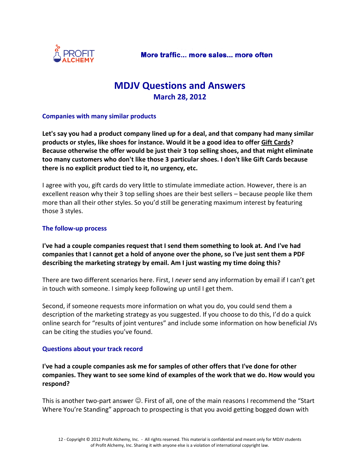

# **MDJV Questions and Answers March 28, 2012**

#### **Companies with many similar products**

**Let's say you had a product company lined up for a deal, and that company had many similar products or styles, like shoes for instance. Would it be a good idea to offer Gift Cards? Because otherwise the offer would be just their 3 top selling shoes, and that might eliminate too many customers who don't like those 3 particular shoes. I don't like Gift Cards because there is no explicit product tied to it, no urgency, etc.**

I agree with you, gift cards do very little to stimulate immediate action. However, there is an excellent reason why their 3 top selling shoes are their best sellers – because people like them more than all their other styles. So you'd still be generating maximum interest by featuring those 3 styles.

#### **The follow-up process**

**I've had a couple companies request that I send them something to look at. And I've had companies that I cannot get a hold of anyone over the phone, so I've just sent them a PDF describing the marketing strategy by email. Am I just wasting my time doing this?**

There are two different scenarios here. First, I *never* send any information by email if I can't get in touch with someone. I simply keep following up until I get them.

Second, if someone requests more information on what you do, you could send them a description of the marketing strategy as you suggested. If you choose to do this, I'd do a quick online search for "results of joint ventures" and include some information on how beneficial JVs can be citing the studies you've found.

### **Questions about your track record**

**I've had a couple companies ask me for samples of other offers that I've done for other companies. They want to see some kind of examples of the work that we do. How would you respond?**

This is another two-part answer  $\odot$ . First of all, one of the main reasons I recommend the "Start Where You're Standing" approach to prospecting is that you avoid getting bogged down with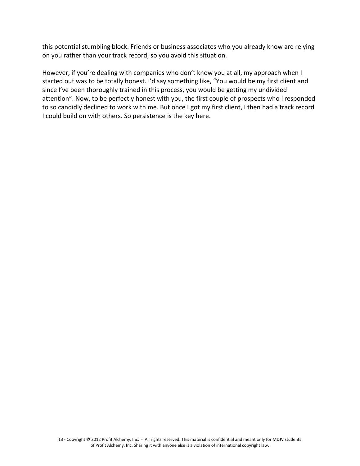this potential stumbling block. Friends or business associates who you already know are relying on you rather than your track record, so you avoid this situation.

However, if you're dealing with companies who don't know you at all, my approach when I started out was to be totally honest. I'd say something like, "You would be my first client and since I've been thoroughly trained in this process, you would be getting my undivided attention". Now, to be perfectly honest with you, the first couple of prospects who I responded to so candidly declined to work with me. But once I got my first client, I then had a track record I could build on with others. So persistence is the key here.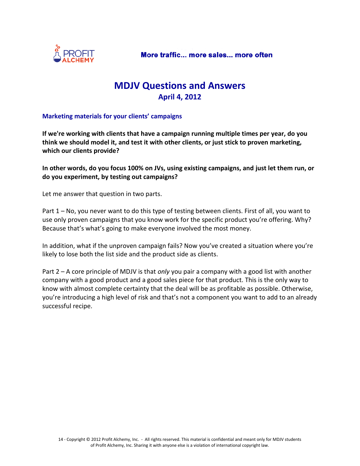

# **MDJV Questions and Answers April 4, 2012**

### **Marketing materials for your clients' campaigns**

**If we're working with clients that have a campaign running multiple times per year, do you think we should model it, and test it with other clients, or just stick to proven marketing, which our clients provide?**

**In other words, do you focus 100% on JVs, using existing campaigns, and just let them run, or do you experiment, by testing out campaigns?**

Let me answer that question in two parts.

Part 1 – No, you never want to do this type of testing between clients. First of all, you want to use only proven campaigns that you know work for the specific product you're offering. Why? Because that's what's going to make everyone involved the most money.

In addition, what if the unproven campaign fails? Now you've created a situation where you're likely to lose both the list side and the product side as clients.

Part 2 – A core principle of MDJV is that *only* you pair a company with a good list with another company with a good product and a good sales piece for that product. This is the only way to know with almost complete certainty that the deal will be as profitable as possible. Otherwise, you're introducing a high level of risk and that's not a component you want to add to an already successful recipe.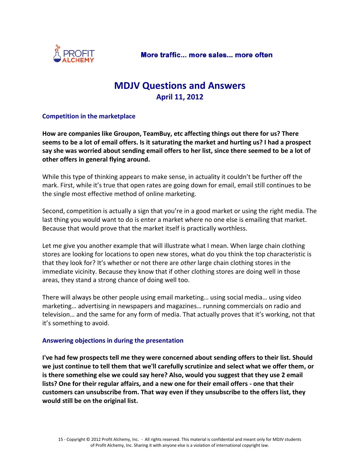

# **MDJV Questions and Answers April 11, 2012**

### **Competition in the marketplace**

**How are companies like Groupon, TeamBuy, etc affecting things out there for us? There seems to be a lot of email offers. Is it saturating the market and hurting us? I had a prospect say she was worried about sending email offers to her list, since there seemed to be a lot of other offers in general flying around.**

While this type of thinking appears to make sense, in actuality it couldn't be further off the mark. First, while it's true that open rates are going down for email, email still continues to be the single most effective method of online marketing.

Second, competition is actually a sign that you're in a good market or using the right media. The last thing you would want to do is enter a market where no one else is emailing that market. Because that would prove that the market itself is practically worthless.

Let me give you another example that will illustrate what I mean. When large chain clothing stores are looking for locations to open new stores, what do you think the top characteristic is that they look for? It's whether or not there are *other* large chain clothing stores in the immediate vicinity. Because they know that if other clothing stores are doing well in those areas, they stand a strong chance of doing well too.

There will always be other people using email marketing… using social media… using video marketing… advertising in newspapers and magazines… running commercials on radio and television… and the same for any form of media. That actually proves that it's working, not that it's something to avoid.

### **Answering objections in during the presentation**

**I've had few prospects tell me they were concerned about sending offers to their list. Should we just continue to tell them that we'll carefully scrutinize and select what we offer them, or is there something else we could say here? Also, would you suggest that they use 2 email lists? One for their regular affairs, and a new one for their email offers - one that their customers can unsubscribe from. That way even if they unsubscribe to the offers list, they would still be on the original list.**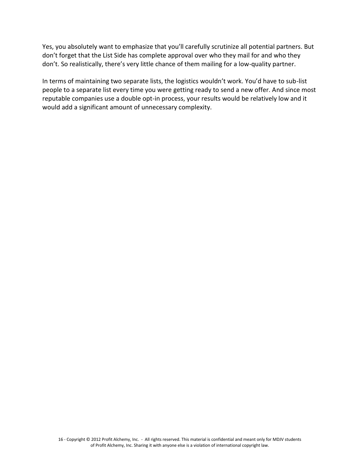Yes, you absolutely want to emphasize that you'll carefully scrutinize all potential partners. But don't forget that the List Side has complete approval over who they mail for and who they don't. So realistically, there's very little chance of them mailing for a low-quality partner.

In terms of maintaining two separate lists, the logistics wouldn't work. You'd have to sub-list people to a separate list every time you were getting ready to send a new offer. And since most reputable companies use a double opt-in process, your results would be relatively low and it would add a significant amount of unnecessary complexity.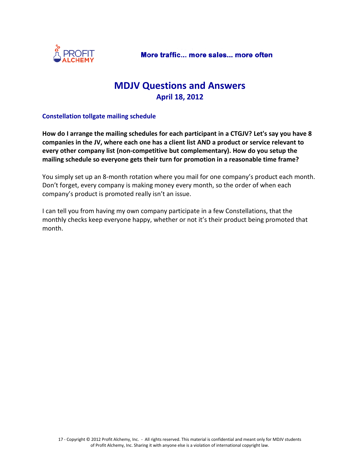

# **MDJV Questions and Answers April 18, 2012**

### **Constellation tollgate mailing schedule**

**How do I arrange the mailing schedules for each participant in a CTGJV? Let's say you have 8 companies in the JV, where each one has a client list AND a product or service relevant to every other company list (non-competitive but complementary). How do you setup the mailing schedule so everyone gets their turn for promotion in a reasonable time frame?**

You simply set up an 8-month rotation where you mail for one company's product each month. Don't forget, every company is making money every month, so the order of when each company's product is promoted really isn't an issue.

I can tell you from having my own company participate in a few Constellations, that the monthly checks keep everyone happy, whether or not it's their product being promoted that month.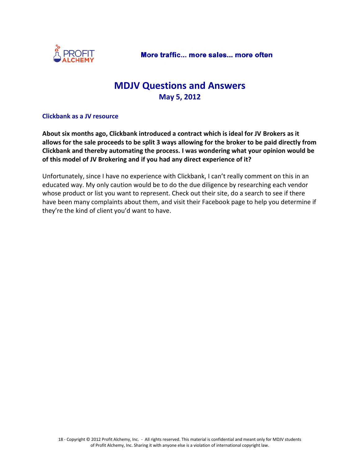

# **MDJV Questions and Answers May 5, 2012**

### **Clickbank as a JV resource**

**About six months ago, Clickbank introduced a contract which is ideal for JV Brokers as it allows for the sale proceeds to be split 3 ways allowing for the broker to be paid directly from Clickbank and thereby automating the process. I was wondering what your opinion would be of this model of JV Brokering and if you had any direct experience of it?**

Unfortunately, since I have no experience with Clickbank, I can't really comment on this in an educated way. My only caution would be to do the due diligence by researching each vendor whose product or list you want to represent. Check out their site, do a search to see if there have been many complaints about them, and visit their Facebook page to help you determine if they're the kind of client you'd want to have.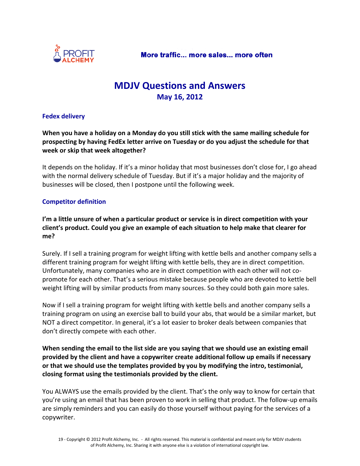

# **MDJV Questions and Answers May 16, 2012**

### **Fedex delivery**

**When you have a holiday on a Monday do you still stick with the same mailing schedule for prospecting by having FedEx letter arrive on Tuesday or do you adjust the schedule for that week or skip that week altogether?**

It depends on the holiday. If it's a minor holiday that most businesses don't close for, I go ahead with the normal delivery schedule of Tuesday. But if it's a major holiday and the majority of businesses will be closed, then I postpone until the following week.

### **Competitor definition**

**I'm a little unsure of when a particular product or service is in direct competition with your client's product. Could you give an example of each situation to help make that clearer for me?**

Surely. If I sell a training program for weight lifting with kettle bells and another company sells a different training program for weight lifting with kettle bells, they are in direct competition. Unfortunately, many companies who are in direct competition with each other will not copromote for each other. That's a serious mistake because people who are devoted to kettle bell weight lifting will by similar products from many sources. So they could both gain more sales.

Now if I sell a training program for weight lifting with kettle bells and another company sells a training program on using an exercise ball to build your abs, that would be a similar market, but NOT a direct competitor. In general, it's a lot easier to broker deals between companies that don't directly compete with each other.

**When sending the email to the list side are you saying that we should use an existing email provided by the client and have a copywriter create additional follow up emails if necessary or that we should use the templates provided by you by modifying the intro, testimonial, closing format using the testimonials provided by the client.**

You ALWAYS use the emails provided by the client. That's the only way to know for certain that you're using an email that has been proven to work in selling that product. The follow-up emails are simply reminders and you can easily do those yourself without paying for the services of a copywriter.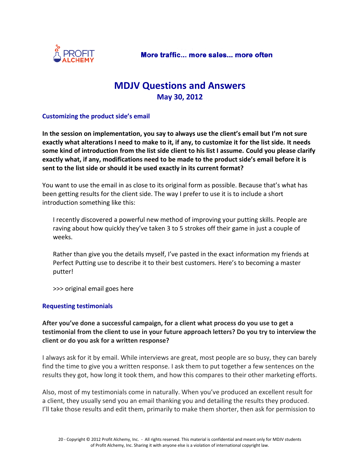

# **MDJV Questions and Answers May 30, 2012**

#### **Customizing the product side's email**

**In the session on implementation, you say to always use the client's email but I'm not sure exactly what alterations I need to make to it, if any, to customize it for the list side. It needs some kind of introduction from the list side client to his list I assume. Could you please clarify exactly what, if any, modifications need to be made to the product side's email before it is sent to the list side or should it be used exactly in its current format?**

You want to use the email in as close to its original form as possible. Because that's what has been getting results for the client side. The way I prefer to use it is to include a short introduction something like this:

I recently discovered a powerful new method of improving your putting skills. People are raving about how quickly they've taken 3 to 5 strokes off their game in just a couple of weeks.

Rather than give you the details myself, I've pasted in the exact information my friends at Perfect Putting use to describe it to their best customers. Here's to becoming a master putter!

>>> original email goes here

### **Requesting testimonials**

**After you've done a successful campaign, for a client what process do you use to get a testimonial from the client to use in your future approach letters? Do you try to interview the client or do you ask for a written response?**

I always ask for it by email. While interviews are great, most people are so busy, they can barely find the time to give you a written response. I ask them to put together a few sentences on the results they got, how long it took them, and how this compares to their other marketing efforts.

Also, most of my testimonials come in naturally. When you've produced an excellent result for a client, they usually send you an email thanking you and detailing the results they produced. I'll take those results and edit them, primarily to make them shorter, then ask for permission to